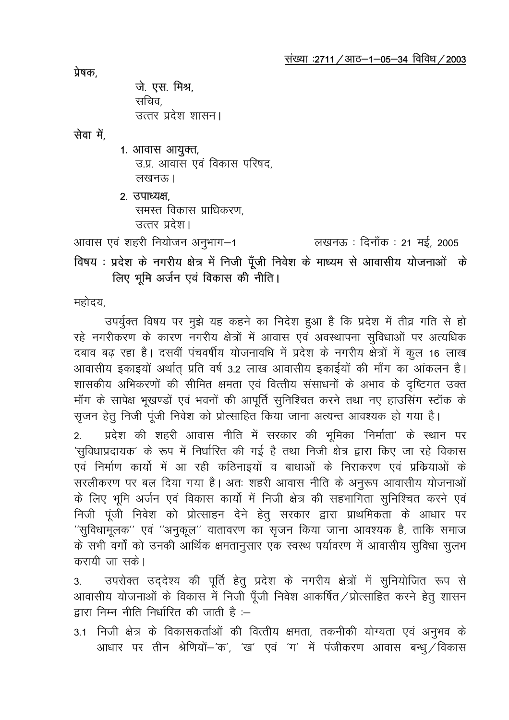प्रेषक

जे. एस. मिश्र, सचिव

उत्तर प्रदेश शासन।

सेवा में

## 1. आवास आयुक्त,

उ.प्र. आवास एवं विकास परिषद. लखनरू ।

2. उपाध्यक्ष. समस्त विकास प्राधिकरण. उत्तर प्रदेश।

आवास एवं शहरी नियोजन अनुभाग—1

लखनऊ : दिनाँक : 21 मई, 2005

# विषय : प्रदेश के नगरीय क्षेत्र में निजी पूँजी निवेश के माध्यम से आवासीय योजनाओं के लिए भूमि अर्जन एवं विकास की नीति।

महोदय.

उपर्युक्त विषय पर मुझे यह कहने का निदेश हुआ है कि प्रदेश में तीव्र गति से हो रहे नगरीकरण के कारण नगरीय क्षेत्रों में आवास एवं अवस्थापना सुविधाओं पर अत्यधिक दबाव बढ रहा है। दसवीं पंचवर्षीय योजनावधि में प्रदेश के नगरीय क्षेत्रों में कुल 16 लाख आवासीय इकाइयों अर्थात प्रति वर्ष 3.2 लाख आवासीय इकाईयों की माँग का आंकलन है। शासकीय अभिकरणों की सीमित क्षमता एवं वित्तीय संसाधनों के अभाव के दृष्टिगत उक्त मॉग के सापेक्ष भूखण्डों एवं भवनों की आपूर्ति सुनिश्चित करने तथा नए हाउसिंग स्टॉक के सृजन हेतू निजी पूंजी निवेश को प्रोत्साहित किया जाना अत्यन्त आवश्यक हो गया है।

प्रदेश की शहरी आवास नीति में सरकार की भूमिका 'निर्माता' के स्थान पर  $2<sup>1</sup>$ 'सुविधाप्रदायक' के रूप में निर्धारित की गई है तथा निजी क्षेत्र द्वारा किए जा रहे विकास एवं निर्माण कार्यो में आ रही कठिनाइयों व बाधाओं के निराकरण एवं प्रक्रियाओं के सरलीकरण पर बल दिया गया है। अतः शहरी आवास नीति के अनुरूप आवासीय योजनाओं के लिए भूमि अर्जन एवं विकास कार्यो में निजी क्षेत्र की सहभागिता सुनिश्चित करने एवं निजी पूंजी निवेश को प्रोत्साहन देने हेतु सरकार द्वारा प्राथमिकता के आधार पर ''सुविधामूलक'' एवं ''अनुकूल'' वातावरण का सृजन किया जाना आवश्यक है, ताकि समाज के सभी वर्गों को उनकी आर्थिक क्षमतानुसार एक स्वस्थ पर्यावरण में आवासीय सुविधा सुलभ करायी जा सकें।

उपरोक्त उद्देश्य की पूर्ति हेतु प्रदेश के नगरीय क्षेत्रों में सुनियोजित रूप से  $3<sup>1</sup>$ आवासीय योजनाओं के विकास में निजी पूँजी निवेश आकर्षित/प्रोत्साहित करने हेतु शासन द्वारा निम्न नीति निर्धारित की जाती है :–

3.1 निजी क्षेत्र के विकासकर्ताओं की वित्तीय क्षमता, तकनीकी योग्यता एवं अनुभव के आधार पर तीन श्रेणियों–'क', 'ख' एवं 'ग' में पंजीकरण आवास बन्ध् ⁄विकास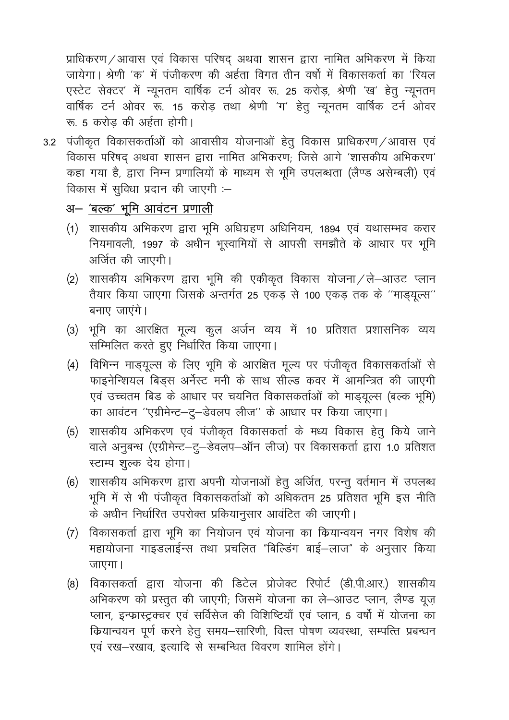प्राधिकरण / आवास एवं विकास परिषद् अथवा शासन द्वारा नामित अभिकरण में किया जायेगा। श्रेणी 'क' में पंजीकरण की अर्हता विगत तीन वर्षों में विकासकर्ता का 'रियल एस्टेट सेक्टर' में न्यूनतम वार्षिक टर्न ओवर रू. 25 करोड़, श्रेणी 'ख' हेतू न्यूनतम वार्षिक टर्न ओवर रू. 15 करोड़ तथा श्रेणी 'ग' हेतू न्यूनतम वार्षिक टर्न ओवर रू 5 करोड़ की अर्हता होगी।

3.2 पंजीकृत विकासकर्ताओं को आवासीय योजनाओं हेतु विकास प्राधिकरण / आवास एवं विकास परिषद् अथवा शासन द्वारा नामित अभिकरण; जिसे आगे 'शासकीय अभिकरण' कहा गया है, द्वारा निम्न प्रणालियों के माध्यम से भूमि उपलब्धता (लैण्ड असेम्बली) एवं विकास में सुविधा प्रदान की जाएगी :-

### अ– 'बल्क' भूमि आवंटन प्रणाली

- (1) शासकीय अभिकरण द्वारा भूमि अधिग्रहण अधिनियम, 1894 एवं यथासम्भव करार नियमावली, 1997 के अधीन भूस्वामियों से आपसी समझौते के आधार पर भूमि अर्जित की जाएगी।
- (2) शासकीय अभिकरण द्वारा भूमि की एकीकृत विकास योजना / ले-आउट प्लान तैयार किया जाएगा जिसके अन्तर्गत 25 एकड से 100 एकड तक के ''माडयूल्स'' बनाए जाएंगे।
- (3) भूमि का आरक्षित मूल्य कुल अर्जन व्यय में 10 प्रतिशत प्रशासनिक व्यय सम्मिलित करते हुए निर्धारित किया जाएगा।
- (4) विभिन्न माड्यूल्स के लिए भूमि के आरक्षित मूल्य पर पंजीकृत विकासकर्ताओं से फाइनेन्शियल बिड़स अर्नेस्ट मनी के साथ सील्ड कवर में आमन्त्रित की जाएगी एवं उच्चतम बिड के आधार पर चयनित विकासकर्ताओं को माड़यूल्स (बल्क भूमि) का आवंटन "एग्रीमेन्ट-टु-डेवलप लीज" के आधार पर किया जाएगा।
- (5) शासकीय अभिकरण एवं पंजीकृत विकासकर्ता के मध्य विकास हेतु किये जाने वाले अनुबन्ध (एग्रीमेन्ट-टु-डेवलप-ऑन लीज) पर विकासकर्ता द्वारा 1.0 प्रतिशत स्टाम्प शुल्क देय होगा।
- (6) शासकीय अभिकरण द्वारा अपनी योजनाओं हेतू अर्जित, परन्तू वर्तमान में उपलब्ध भूमि में से भी पंजीकृत विकासकर्ताओं को अधिकतम 25 प्रतिशत भूमि इस नीति के अधीन निर्धारित उपरोक्त प्रकियानुसार आवंटित की जाएगी।
- विकासकर्ता द्वारा भूमि का नियोजन एवं योजना का कियान्वयन नगर विशेष की  $(7)$ महायोजना गाइडलाईन्स तथा प्रचलित "बिल्डिंग बाई-लाज" के अनुसार किया जाएगा।
- विकासकर्ता द्वारा योजना की डिटेल प्रोजेक्ट रिपोर्ट (डी.पी.आर.) शासकीय  $(8)$ अभिकरण को प्रस्तुत की जाएगी; जिसमें योजना का ले-आउट प्लान, लैण्ड यूज़ प्लान, इन्फ्रास्ट्रक्चर एवं सर्विसेज की विशिष्टियाँ एवं प्लान, 5 वर्षो में योजना का कियान्वयन पूर्ण करने हेतु समय-सारिणी, वित्त पोषण व्यवस्था, सम्पत्ति प्रबन्धन एवं रख-रखाव, इत्यादि से सम्बन्धित विवरण शामिल होंगे।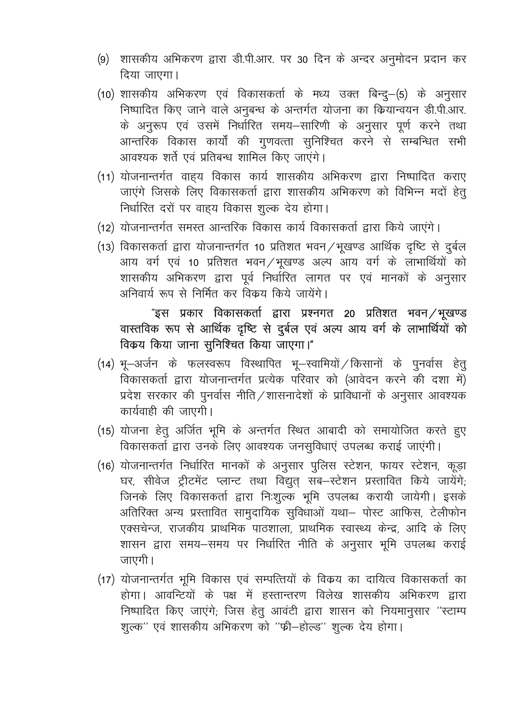- (9) शासकीय अभिकरण द्वारा डी.पी.आर. पर 30 दिन के अन्दर अनुमोदन प्रदान कर दिया जाएगा।
- (10) शासकीय अभिकरण एवं विकासकर्ता के मध्य उक्त बिन्दु-(5) के अनुसार निष्पादित किए जाने वाले अनुबन्ध के अन्तर्गत योजना का कियान्वयन डी.पी.आर. के अनुरूप एवं उसमें निर्धारित समय-सारिणी के अनुसार पूर्ण करने तथा आन्तरिक विकास कार्यों की गुणवत्ता सुनिश्चित करने से सम्बन्धित सभी आवश्यक शर्ते एवं प्रतिबन्ध शामिल किए जाएंगे।
- (11) योजनान्तर्गत वाह्य विकास कार्य शासकीय अभिकरण द्वारा निष्पादित कराए जाएंगे जिसके लिए विकासकर्ता द्वारा शासकीय अभिकरण को विभिन्न मदों हेत निर्धारित दरों पर वाहय विकास शुल्क देय होगा।
- (12) योजनान्तर्गत समस्त आन्तरिक विकास कार्य विकासकर्ता द्वारा किये जाएंगे।
- (13) विकासकर्ता द्वारा योजनान्तर्गत 10 प्रतिशत भवन / भूखण्ड आर्थिक दृष्टि से दूर्बल आय वर्ग एवं 10 प्रतिशत भवन/भूखण्ड अल्प आय वर्ग के लाभार्थियों को शासकीय अभिकरण द्वारा पूर्व निर्धारित लागत पर एवं मानकों के अनुसार अनिवार्य रूप से निर्मित कर विकय किये जायेंगे।

## "इस प्रकार विकासकर्ता द्वारा प्रश्नगत 20 प्रतिशत भवन/भूखण्ड वास्तविक रूप से आर्थिक दृष्टि से दुर्बल एवं अल्प आय वर्ग के लाभार्थियों को विकय किया जाना सुनिश्चित किया जाएगा।"

- (14) भू-अर्जन के फलस्वरूप विस्थापित भू-स्वामियों / किसानों के पुनर्वास हेतु विकासकर्ता द्वारा योजनान्तर्गत प्रत्येक परिवार को (आवेदन करने की दशा में) प्रदेश सरकार की पुनर्वास नीति / शासनादेशों के प्राविधानों के अनुसार आवश्यक कार्यवाही की जाएगी।
- (15) योजना हेतु अर्जित भूमि के अन्तर्गत स्थित आबादी को समायोजित करते हुए विकासकर्ता द्वारा उनके लिए आवश्यक जनसुविधाएं उपलब्ध कराई जाएंगी।
- (16) योजनान्तर्गत निर्धारित मानकों के अनुसार पुलिस स्टेशन, फायर स्टेशन, कूड़ा घर, सीवेज ट्रीटमेंट प्लान्ट तथा विद्युत् सब-स्टेशन प्रस्तावित किये जायेंगे; जिनके लिए विकासकर्ता द्वारा निःशुल्क भूमि उपलब्ध करायी जायेगी। इसके अतिरिक्त अन्य प्रस्तावित सामुदायिक सुविधाओं यथा– पोस्ट आफिस, टेलीफोन एक्सचेन्ज, राजकीय प्राथमिक पाठशाला, प्राथमिक स्वास्थ्य केन्द्र, आदि के लिए शासन द्वारा समय-समय पर निर्धारित नीति के अनुसार भूमि उपलब्ध कराई जाएगी।
- (17) योजनान्तर्गत भूमि विकास एवं सम्पत्तियों के विक्रय का दायित्व विकासकर्ता का होगा। आवन्टियों के पक्ष में हस्तान्तरण विलेख शासकीय अभिकरण द्वारा निष्पादित किए जाएंगे; जिस हेतु आवंटी द्वारा शासन को नियमानुसार "स्टाम्प शुल्क" एवं शासकीय अभिकरण को "फ्री-होल्ड" शुल्क देय होगा।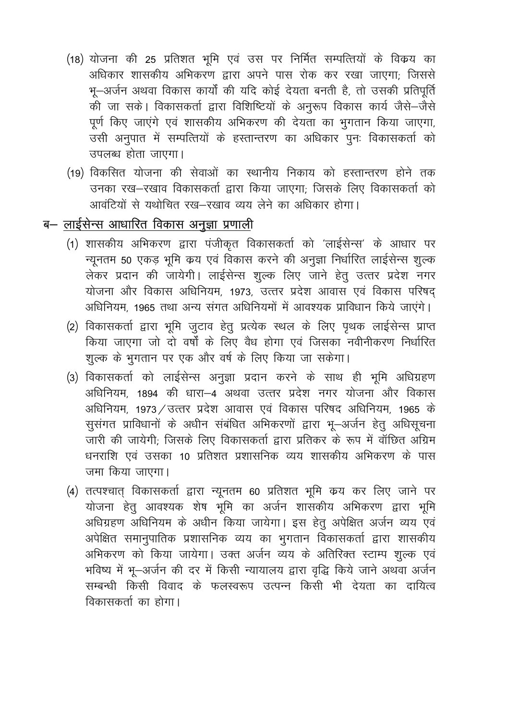- (18) योजना की 25 प्रतिशत भूमि एवं उस पर निर्मित सम्पत्तियों के विकय का अधिकार शासकीय अभिकरण द्वारा अपने पास रोक कर रखा जाएगा; जिससे भू-अर्जन अथवा विकास कार्यों की यदि कोई देयता बनती है, तो उसकी प्रतिपूर्ति की जा सकें। विकासकर्ता द्वारा विशिष्टियों के अनुरूप विकास कार्य जैसे–जैसे पूर्ण किए जाएंगे एवं शासकीय अभिकरण की देयता का भूगतान किया जाएगा, उसी अनुपात में सम्पत्तियों के हस्तान्तरण का अधिकार पुनः विकासकर्ता को उपलब्ध होता जाएगा।
- (19) विकसित योजना की सेवाओं का स्थानीय निकाय को हस्तान्तरण होने तक उनका रख-रखाव विकासकर्ता द्वारा किया जाएगा; जिसके लिए विकासकर्ता को आवंटियों से यथोचित रख-रखाव व्यय लेने का अधिकार होगा।

## ब– लाईसेन्स आधारित विकास अनूज्ञा प्रणाली

- (1) शासकीय अभिकरण द्वारा पंजीकृत विकासकर्ता को 'लाईसेन्स' के आधार पर न्यूनतम 50 एकड़ भूमि क्रय एवं विकास करने की अनुज्ञा निर्धारित लाईसेन्स शुल्क लेकर प्रदान की जायेगी। लाईसेन्स शुल्क लिए जाने हेतू उत्तर प्रदेश नगर योजना और विकास अधिनियम, 1973, उत्तर प्रदेश आवास एवं विकास परिषद अधिनियम, 1965 तथा अन्य संगत अधिनियमों में आवश्यक प्राविधान किये जाएंगे।
- (2) विकासकर्ता द्वारा भूमि जुटाव हेतु प्रत्येक स्थल के लिए पृथक लाईसेन्स प्राप्त किया जाएगा जो दो वर्षों के लिए वैध होगा एवं जिसका नवीनीकरण निर्धारित शूल्क के भूगतान पर एक और वर्ष के लिए किया जा सकेगा।
- (3) विकासकर्ता को लाईसेन्स अनुज्ञा प्रदान करने के साथ ही भूमि अधिग्रहण अधिनियम, 1894 की धारा-4 अथवा उत्तर प्रदेश नगर योजना और विकास अधिनियम, 1973 / उत्तर प्रदेश आवास एवं विकास परिषद अधिनियम, 1965 के सूसंगत प्राविधानों के अधीन संबंधित अभिकरणों द्वारा भू–अर्जन हेतू अधिसूचना जारी की जायेगी; जिसके लिए विकासकर्ता द्वारा प्रतिकर के रूप में वॉछित अग्रिम धनराशि एवं उसका 10 प्रतिशत प्रशासनिक व्यय शासकीय अभिकरण के पास जमा किया जाएगा।
- (4) तत्पश्चात् विकासकर्ता द्वारा न्यूनतम 60 प्रतिशत भूमि कय कर लिए जाने पर योजना हेतु आवश्यक शेष भूमि का अर्जन शासकीय अभिकरण द्वारा भूमि अधिग्रहण अधिनियम के अधीन किया जायेगा। इस हेतु अपेक्षित अर्जन व्यय एवं अपेक्षित समानुपातिक प्रशासनिक व्यय का भूगतान विकासकर्ता द्वारा शासकीय अभिकरण को किया जायेगा। उक्त अर्जन व्यय के अतिरिक्त स्टाम्प शुल्क एवं भविष्य में भू-अर्जन की दर में किसी न्यायालय द्वारा वृद्धि किये जाने अथवा अर्जन सम्बन्धी किसी विवाद के फलस्वरूप उत्पन्न किसी भी देयता का दायित्व विकासकर्ता का होगा।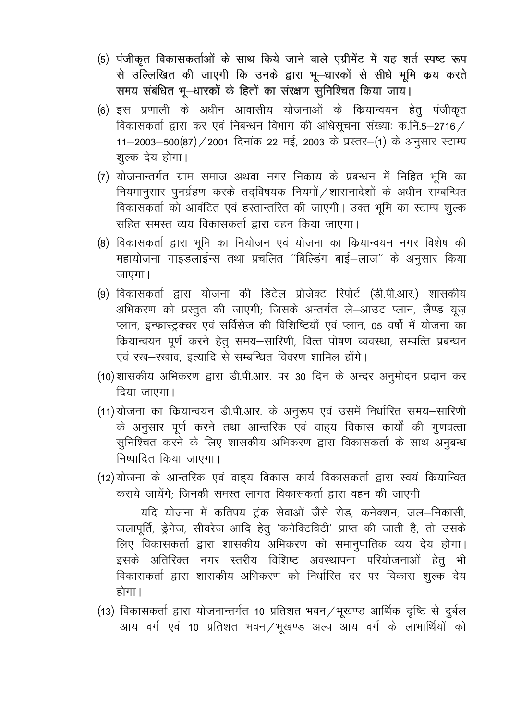- (5) पंजीकृत विकासकर्ताओं के साथ किये जाने वाले एग्रीमेंट में यह शर्त स्पष्ट रूप से उल्लिखित की जाएगी कि उनके द्वारा भू–धारकों से सीधे भूमि कय करते समय संबंधित भू-धारकों के हितों का संरक्षण सुनिश्चित किया जाय।
- (6) इस प्रणाली के अधीन आवासीय योजनाओं के कियान्वयन हेतू पंजीकृत विकासकर्ता द्वारा कर एवं निबन्धन विभाग की अधिसूचना संख्याः क.नि.5-2716 / 11-2003-500(87) / 2001 दिनांक 22 मई, 2003 के प्रस्तर-(1) के अनुसार स्टाम्प शूल्क देय होगा।
- (7) योजनान्तर्गत ग्राम समाज अथवा नगर निकाय के प्रबन्धन में निहित भूमि का नियमानुसार पुनर्ग्रहण करके तदविषयक नियमों /शासनादेशों के अधीन सम्बन्धित विकासकर्ता को आवंटित एवं हस्तान्तरित की जाएगी। उक्त भूमि का स्टाम्प शुल्क सहित समस्त व्यय विकासकर्ता द्वारा वहन किया जाएगा।
- (8) विकासकर्ता द्वारा भूमि का नियोजन एवं योजना का कियान्वयन नगर विशेष की महायोजना गाइडलाईन्स तथा प्रचलित ''बिल्डिंग बाई–लाज'' के अनुसार किया जाएगा।
- (9) विकासकर्ता द्वारा योजना की डिटेल प्रोजेक्ट रिपोर्ट (डी.पी.आर.) शासकीय अभिकरण को प्रस्तुत की जाएगी; जिसके अन्तर्गत ले-आउट प्लान, लैण्ड यूज़ प्लान, इन्फ्रास्ट्रक्चर एवं सर्विसेज की विशिष्टियाँ एवं प्लान, 05 वर्षों में योजना का कियान्वयन पूर्ण करने हेतू समय–सारिणी, वित्त पोषण व्यवस्था, सम्पत्ति प्रबन्धन एवं रख-रखाव, इत्यादि से सम्बन्धित विवरण शामिल होंगे।
- (10)शासकीय अभिकरण द्वारा डी.पी.आर. पर 30 दिन के अन्दर अनुमोदन प्रदान कर दिया जाएगा।
- (11) योजना का कियान्वयन डी.पी.आर. के अनुरूप एवं उसमें निर्धारित समय-सारिणी के अनुसार पूर्ण करने तथा आन्तरिक एवं वाहय विकास कार्यों की गुणवत्ता सुनिश्चित करने के लिए शासकीय अभिकरण द्वारा विकासकर्ता के साथ अनुबन्ध निष्पादित किया जाएगा।
- (12) योजना के आन्तरिक एवं वाह्य विकास कार्य विकासकर्ता द्वारा स्वयं कियान्वित कराये जायेंगे: जिनकी समस्त लागत विकासकर्ता द्वारा वहन की जाएगी।

यदि योजना में कतिपय ट्रंक सेवाओं जैसे रोड, कनेक्शन, जल-निकासी, जलापूर्ति, ड्रेनेज, सीवरेज आदि हेतु 'कनेक्टिविटी' प्राप्त की जाती है, तो उसके लिए विकासकर्ता द्वारा शासकीय अभिकरण को समानुपातिक व्यय देय होगा। इसके अतिरिक्त नगर स्तरीय विशिष्ट अवस्थापना परियोजनाओं हेतू भी विकासकर्ता द्वारा शासकीय अभिकरण को निर्धारित दर पर विकास शुल्क देय होगा।

(13) विकासकर्ता द्वारा योजनान्तर्गत 10 प्रतिशत भवन / भूखण्ड आर्थिक दृष्टि से दुर्बल आय वर्ग एवं 10 प्रतिशत भवन / भूखण्ड अल्प आय वर्ग के लाभार्थियों को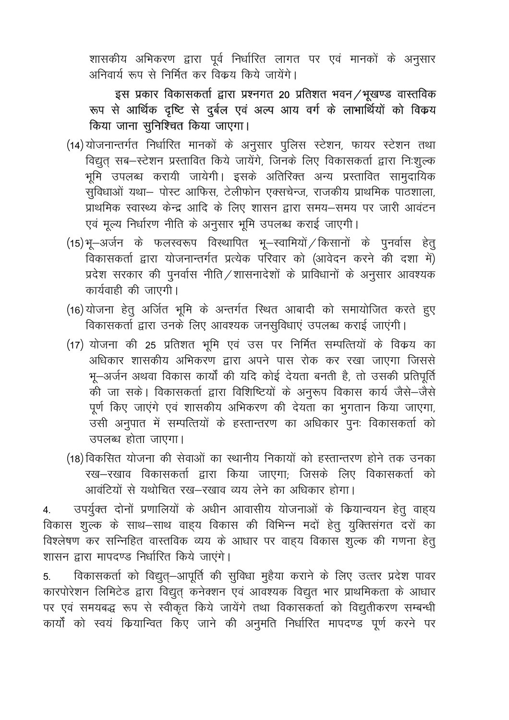शासकीय अभिकरण द्वारा पूर्व निर्धारित लागत पर एवं मानकों के अनुसार अनिवार्य रूप से निर्मित कर विकय किये जायेंगे।

इस प्रकार विकासकर्ता द्वारा प्रश्नगत 20 प्रतिशत भवन / भूखण्ड वास्तविक रूप से आर्थिक दृष्टि से दुर्बल एवं अल्प आय वर्ग के लाभार्थियों को विकय किया जाना सुनिश्चित किया जाएगा।

- (14)योजनान्तर्गत निर्धारित मानकों के अनुसार पुलिस स्टेशन, फायर स्टेशन तथा विद्युत् सब-स्टेशन प्रस्तावित किये जायेंगे, जिनके लिए विकासकर्ता द्वारा निःशुल्क भूमि उपलब्ध करायी जायेगी। इसके अतिरिक्त अन्य प्रस्तावित सामुदायिक सुविधाओं यथा- पोस्ट आफिस, टेलीफोन एक्सचेन्ज, राजकीय प्राथमिक पाठशाला, प्राथमिक स्वास्थ्य केन्द्र आदि के लिए शासन द्वारा समय-समय पर जारी आवंटन एवं मूल्य निर्धारण नीति के अनुसार भूमि उपलब्ध कराई जाएगी।
- (15)भू-अर्जन के फलस्वरूप विस्थापित भू-स्वामियों / किसानों के पुनर्वास हेतु विकासकर्ता द्वारा योजनान्तर्गत प्रत्येक परिवार को (आवेदन करने की दशा में) प्रदेश सरकार की पुनर्वास नीति / शासनादेशों के प्राविधानों के अनुसार आवश्यक कार्यवाही की जाएगी।
- (16) योजना हेतु अर्जित भूमि के अन्तर्गत स्थित आबादी को समायोजित करते हुए विकासकर्ता द्वारा उनके लिए आवश्यक जनसुविधाएं उपलब्ध कराई जाएंगी।
- (17) योजना की 25 प्रतिशत भूमि एवं उस पर निर्मित सम्पत्तियों के विकय का अधिकार शासकीय अभिकरण द्वारा अपने पास रोक कर रखा जाएगा जिससे भू-अर्जन अथवा विकास कार्यों की यदि कोई देयता बनती है, तो उसकी प्रतिपूर्ति की जा सकें। विकासकर्ता द्वारा विशिष्टियों के अनुरूप विकास कार्य जैसे–जैसे पूर्ण किए जाएंगे एवं शासकीय अभिकरण की देयता का भुगतान किया जाएगा, उसी अनुपात में सम्पत्तियों के हस्तान्तरण का अधिकार पुनः विकासकर्ता को उपलब्ध होता जाएगा।
- (18) विकसित योजना की सेवाओं का स्थानीय निकायों को हस्तान्तरण होने तक उनका रख-रखाव विकासकर्ता द्वारा किया जाएगा; जिसके लिए विकासकर्ता को आवंटियों से यथोचित रख-रखाव व्यय लेने का अधिकार होगा।

उपर्युक्त दोनों प्रणालियों के अधीन आवासीय योजनाओं के कियान्वयन हेतू वाहय  $4.$ विकास शुल्क के साथ–साथ वाह्य विकास की विभिन्न मदों हेतु युक्तिसंगत दरों का विश्लेषण कर सन्निहित वास्तविक व्यय के आधार पर वाहय विकास शुल्क की गणना हेतू शासन द्वारा मापदण्ड निर्धारित किये जाएंगे।

विकासकर्ता को विद्युत्–आपूर्ति की सुविधा मुहैया कराने के लिए उत्तर प्रदेश पावर 5. कारपोरेशन लिमिटेड द्वारा विद्युत् कनेक्शन एवं आवश्यक विद्युत भार प्राथमिकता के आधार पर एवं समयबद्ध रूप से स्वीकृत किये जायेंगे तथा विकासकर्ता को विद्युतीकरण सम्बन्धी कार्यों को स्वयं कियान्वित किए जाने की अनुमति निर्धारित मापदण्ड पूर्ण करने पर